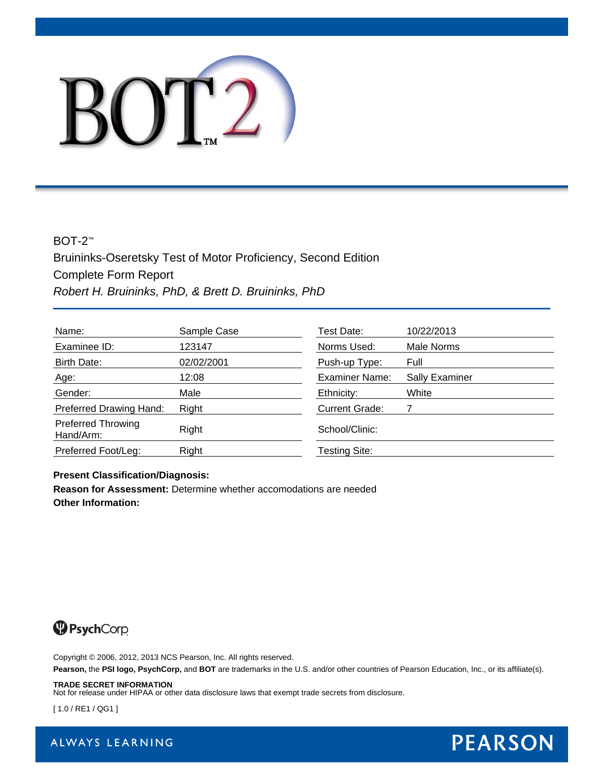# BOT2

#### BOT-2™

Bruininks-Oseretsky Test of Motor Proficiency, Second Edition Complete Form Report *Robert H. Bruininks, PhD, & Brett D. Bruininks, PhD*

| Name:                                  | Sample Case | Test Date:            | 10/22/2013            |
|----------------------------------------|-------------|-----------------------|-----------------------|
| Examinee ID:                           | 123147      | Norms Used:           | Male Norms            |
| Birth Date:                            | 02/02/2001  | Push-up Type:         | Full                  |
| Age:                                   | 12:08       | Examiner Name:        | <b>Sally Examiner</b> |
| Gender:                                | Male        | Ethnicity:            | White                 |
| Preferred Drawing Hand:                | Right       | <b>Current Grade:</b> |                       |
| <b>Preferred Throwing</b><br>Hand/Arm: | Right       | School/Clinic:        |                       |
| Preferred Foot/Leg:                    | Right       | Testing Site:         |                       |

#### **Present Classification/Diagnosis:**

**Reason for Assessment:** Determine whether accomodations are needed **Other Information:**



Copyright © 2006, 2012, 2013 NCS Pearson, Inc. All rights reserved.

**Pearson,** the **PSI logo, PsychCorp,** and **BOT** are trademarks in the U.S. and/or other countries of Pearson Education, Inc., or its affiliate(s).

#### **TRADE SECRET INFORMATION**

Not for release under HIPAA or other data disclosure laws that exempt trade secrets from disclosure.

[ 1.0 / RE1 / QG1 ]



ALWAYS LEARNING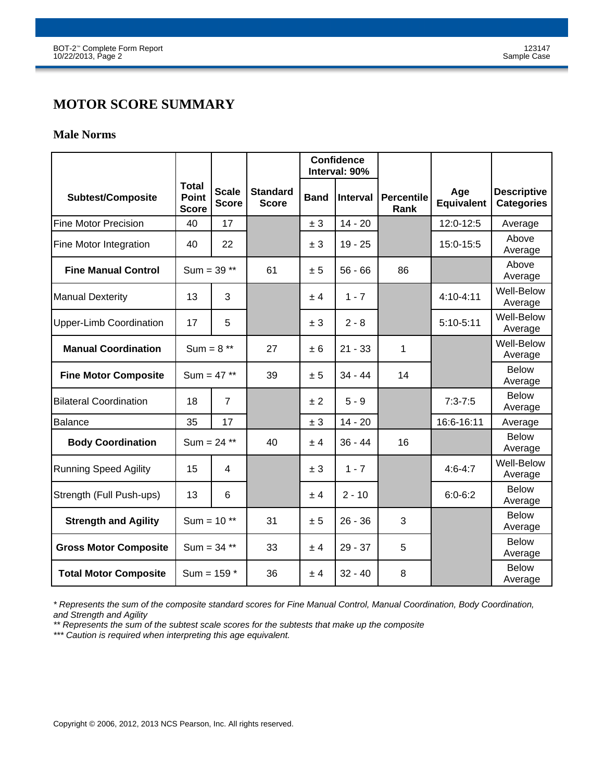# **MOTOR SCORE SUMMARY**

#### **Male Norms**

|                                |                                              |                              |                                 | <b>Confidence</b><br>Interval: 90% |                 |                           |                          |                                         |
|--------------------------------|----------------------------------------------|------------------------------|---------------------------------|------------------------------------|-----------------|---------------------------|--------------------------|-----------------------------------------|
| <b>Subtest/Composite</b>       | <b>Total</b><br><b>Point</b><br><b>Score</b> | <b>Scale</b><br><b>Score</b> | <b>Standard</b><br><b>Score</b> | <b>Band</b>                        | <b>Interval</b> | <b>Percentile</b><br>Rank | Age<br><b>Equivalent</b> | <b>Descriptive</b><br><b>Categories</b> |
| Fine Motor Precision           | 40                                           | 17                           |                                 | ± 3                                | $14 - 20$       |                           | 12:0-12:5                | Average                                 |
| Fine Motor Integration         | 40                                           | 22                           |                                 | ± 3                                | $19 - 25$       |                           | 15:0-15:5                | Above<br>Average                        |
| <b>Fine Manual Control</b>     | Sum = $39**$                                 |                              | 61                              | ± 5                                | $56 - 66$       | 86                        |                          | Above<br>Average                        |
| Manual Dexterity               | 13                                           | 3                            |                                 | ± 4                                | $1 - 7$         |                           | 4:10-4:11                | <b>Well-Below</b><br>Average            |
| <b>Upper-Limb Coordination</b> | 17                                           | 5                            |                                 | ± 3                                | $2 - 8$         |                           | $5:10-5:11$              | <b>Well-Below</b><br>Average            |
| <b>Manual Coordination</b>     | Sum = $8**$                                  |                              | 27                              | ± 6                                | $21 - 33$       | 1                         |                          | Well-Below<br>Average                   |
| <b>Fine Motor Composite</b>    | Sum = $47**$                                 |                              | 39                              | ± 5                                | $34 - 44$       | 14                        |                          | <b>Below</b><br>Average                 |
| <b>Bilateral Coordination</b>  | 18                                           | $\overline{7}$               |                                 | ± 2                                | $5 - 9$         |                           | $7:3 - 7:5$              | <b>Below</b><br>Average                 |
| Balance                        | 35                                           | 17                           |                                 | ± 3                                | $14 - 20$       |                           | 16:6-16:11               | Average                                 |
| <b>Body Coordination</b>       | Sum = $24$ **                                |                              | 40                              | ± 4                                | $36 - 44$       | 16                        |                          | <b>Below</b><br>Average                 |
| <b>Running Speed Agility</b>   | 15                                           | 4                            |                                 | ± 3                                | $1 - 7$         |                           | $4:6 - 4:7$              | <b>Well-Below</b><br>Average            |
| Strength (Full Push-ups)       | 13                                           | 6                            |                                 | ± 4                                | $2 - 10$        |                           | $6:0-6:2$                | <b>Below</b><br>Average                 |
| <b>Strength and Agility</b>    | Sum = $10**$                                 |                              | 31                              | ± 5                                | $26 - 36$       | 3                         |                          | <b>Below</b><br>Average                 |
| <b>Gross Motor Composite</b>   | Sum = $34$ **                                |                              | 33                              | ± 4                                | $29 - 37$       | 5                         |                          | <b>Below</b><br>Average                 |
| <b>Total Motor Composite</b>   | Sum = $159 *$                                |                              | 36                              | ± 4                                | $32 - 40$       | 8                         |                          | <b>Below</b><br>Average                 |

*\* Represents the sum of the composite standard scores for Fine Manual Control, Manual Coordination, Body Coordination, and Strength and Agility*

*\*\* Represents the sum of the subtest scale scores for the subtests that make up the composite*

*\*\*\* Caution is required when interpreting this age equivalent.*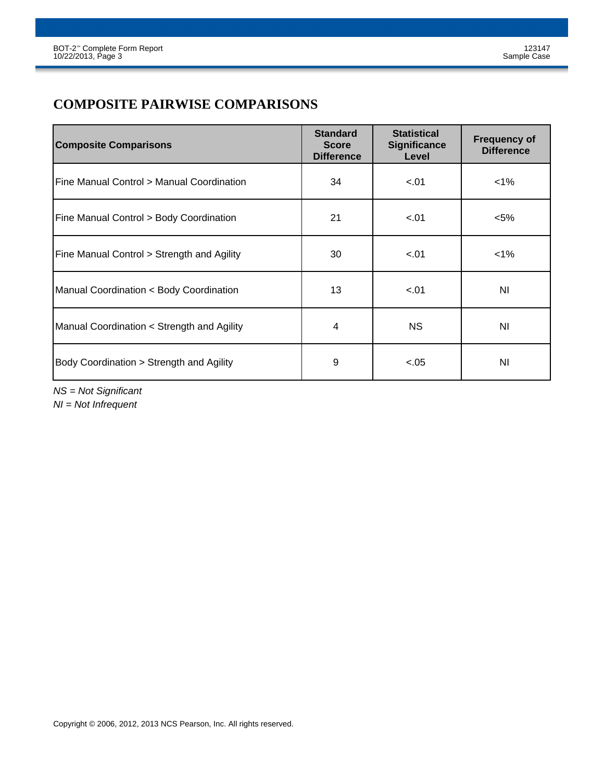# **COMPOSITE PAIRWISE COMPARISONS**

| <b>Composite Comparisons</b>               | <b>Standard</b><br><b>Score</b><br><b>Difference</b> | <b>Statistical</b><br><b>Significance</b><br>Level | <b>Frequency of</b><br><b>Difference</b> |
|--------------------------------------------|------------------------------------------------------|----------------------------------------------------|------------------------------------------|
| IFine Manual Control > Manual Coordination | 34                                                   | $-.01$                                             | $1\%$                                    |
| Fine Manual Control > Body Coordination    | 21                                                   | $-.01$                                             | $<$ 5%                                   |
| Fine Manual Control > Strength and Agility | 30                                                   | $-.01$                                             | 1%                                       |
| Manual Coordination < Body Coordination    | 13                                                   | $-.01$                                             | ΝI                                       |
| Manual Coordination < Strength and Agility | 4                                                    | <b>NS</b>                                          | ΝI                                       |
| Body Coordination > Strength and Agility   | 9                                                    | $-.05$                                             | N <sub>l</sub>                           |

*NS = Not Significant*

*NI = Not Infrequent*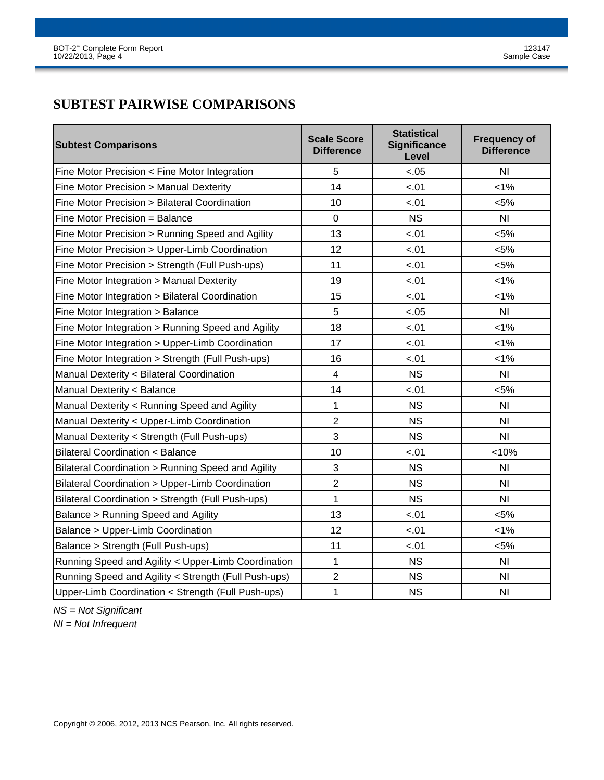# **SUBTEST PAIRWISE COMPARISONS**

| <b>Subtest Comparisons</b>                           | <b>Scale Score</b><br><b>Difference</b> | <b>Statistical</b><br><b>Significance</b><br>Level | <b>Frequency of</b><br><b>Difference</b> |
|------------------------------------------------------|-----------------------------------------|----------------------------------------------------|------------------------------------------|
| Fine Motor Precision < Fine Motor Integration        | 5                                       | $-.05$                                             | N <sub>l</sub>                           |
| Fine Motor Precision > Manual Dexterity              | 14                                      | $-.01$                                             | $< 1\%$                                  |
| Fine Motor Precision > Bilateral Coordination        | 10                                      | $-.01$                                             | $< 5\%$                                  |
| Fine Motor Precision = Balance                       | $\mathbf 0$                             | <b>NS</b>                                          | N <sub>l</sub>                           |
| Fine Motor Precision > Running Speed and Agility     | 13                                      | $-.01$                                             | $< 5\%$                                  |
| Fine Motor Precision > Upper-Limb Coordination       | 12                                      | $-.01$                                             | $< 5\%$                                  |
| Fine Motor Precision > Strength (Full Push-ups)      | 11                                      | $-.01$                                             | $< 5\%$                                  |
| Fine Motor Integration > Manual Dexterity            | 19                                      | $-.01$                                             | $< 1\%$                                  |
| Fine Motor Integration > Bilateral Coordination      | 15                                      | $-.01$                                             | 1%                                       |
| Fine Motor Integration > Balance                     | 5                                       | $-.05$                                             | N <sub>l</sub>                           |
| Fine Motor Integration > Running Speed and Agility   | 18                                      | $-.01$                                             | 1%                                       |
| Fine Motor Integration > Upper-Limb Coordination     | 17                                      | $-.01$                                             | $< 1\%$                                  |
| Fine Motor Integration > Strength (Full Push-ups)    | 16                                      | $-.01$                                             | 1%                                       |
| Manual Dexterity < Bilateral Coordination            | $\overline{4}$                          | <b>NS</b>                                          | N <sub>l</sub>                           |
| Manual Dexterity < Balance                           | 14                                      | $-.01$                                             | $< 5\%$                                  |
| Manual Dexterity < Running Speed and Agility         | $\mathbf{1}$                            | <b>NS</b>                                          | N <sub>l</sub>                           |
| Manual Dexterity < Upper-Limb Coordination           | $\overline{2}$                          | <b>NS</b>                                          | N <sub>l</sub>                           |
| Manual Dexterity < Strength (Full Push-ups)          | 3                                       | <b>NS</b>                                          | N <sub>l</sub>                           |
| <b>Bilateral Coordination &lt; Balance</b>           | 10                                      | $-.01$                                             | < 10%                                    |
| Bilateral Coordination > Running Speed and Agility   | 3                                       | <b>NS</b>                                          | N <sub>l</sub>                           |
| Bilateral Coordination > Upper-Limb Coordination     | $\overline{2}$                          | <b>NS</b>                                          | N <sub>l</sub>                           |
| Bilateral Coordination > Strength (Full Push-ups)    | $\mathbf{1}$                            | <b>NS</b>                                          | N <sub>l</sub>                           |
| Balance > Running Speed and Agility                  | 13                                      | $-.01$                                             | < 5%                                     |
| Balance > Upper-Limb Coordination                    | 12                                      | $-.01$                                             | $< 1\%$                                  |
| Balance > Strength (Full Push-ups)                   | 11                                      | $-.01$                                             | $< 5\%$                                  |
| Running Speed and Agility < Upper-Limb Coordination  | $\mathbf{1}$                            | <b>NS</b>                                          | N <sub>l</sub>                           |
| Running Speed and Agility < Strength (Full Push-ups) | $\overline{2}$                          | <b>NS</b>                                          | N <sub>l</sub>                           |
| Upper-Limb Coordination < Strength (Full Push-ups)   | 1                                       | <b>NS</b>                                          | N <sub>l</sub>                           |

*NS = Not Significant*

*NI = Not Infrequent*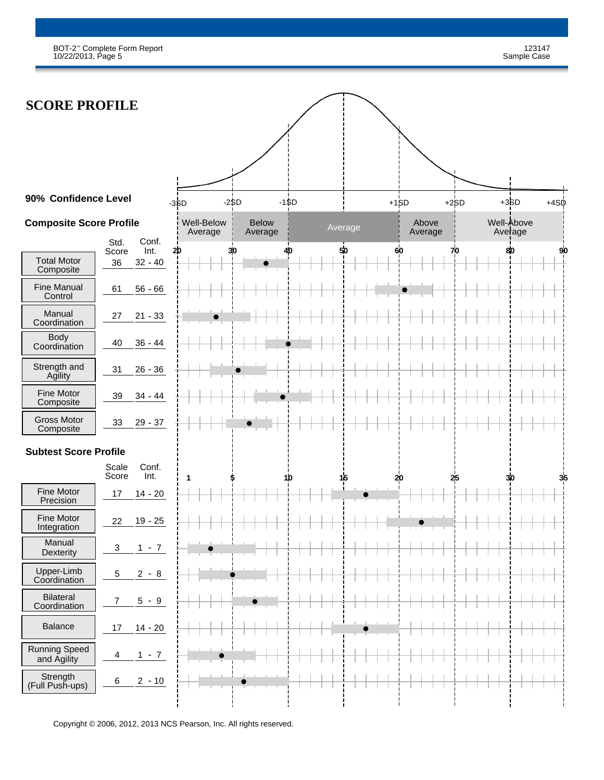BOT-2™ Complete Form Report 123147 10/22/2013, Page 5 Sample Case

| <b>SCORE PROFILE</b>                |                                                   |                       |                         |                |                  |                            |
|-------------------------------------|---------------------------------------------------|-----------------------|-------------------------|----------------|------------------|----------------------------|
|                                     |                                                   |                       |                         |                |                  |                            |
|                                     |                                                   |                       |                         |                |                  |                            |
|                                     |                                                   |                       |                         |                |                  |                            |
| 90% Confidence Level                |                                                   | $-3SD$                | $-2SD$<br>$-1$ \$D      |                | $+15D$           | $+3SD$<br>$+4SD$<br>$+2SD$ |
| <b>Composite Score Profile</b>      |                                                   | Well-Below<br>Average | <b>Below</b><br>Average | Average        | Above<br>Average | Well-Above<br>Average      |
| <b>Total Motor</b><br>Composite     | Conf.<br>Std.<br>Int.<br>Score<br>36<br>$32 - 40$ | 20                    | 30<br>40                | 50             | 60               | 80<br>70<br>90             |
| <b>Fine Manual</b><br>Control       | 61<br>$56 - 66$                                   |                       |                         |                |                  |                            |
| Manual<br>Coordination              | $21 - 33$<br>27                                   |                       |                         |                |                  |                            |
| <b>Body</b><br>Coordination         | 40<br>$36 - 44$                                   |                       |                         |                |                  |                            |
| Strength and<br>Agility             | 31<br>$26 - 36$                                   |                       |                         |                |                  |                            |
| Fine Motor<br>Composite             | 39<br>$34 - 44$                                   |                       |                         |                |                  |                            |
| <b>Gross Motor</b><br>Composite     | 33<br>$29 - 37$                                   |                       |                         |                |                  |                            |
| <b>Subtest Score Profile</b>        |                                                   |                       |                         |                |                  |                            |
|                                     | Conf.<br>Scale<br>Score<br>Int.                   | $\mathbf{1}$          | 1/0                     | 1 <sub>5</sub> | 20               | 30<br>25                   |
| Fine Motor<br>Precision             | $14 - 20$<br>17                                   |                       |                         |                |                  |                            |
| Fine Motor<br>Integration           | $19 - 25$<br>22                                   |                       |                         |                |                  |                            |
| Manual<br>Dexterity                 | $1 - 7$<br>$\ensuremath{\mathsf{3}}$              |                       |                         |                |                  |                            |
| Upper-Limb<br>Coordination          | $2 - 8$<br>$\sqrt{5}$                             |                       |                         |                |                  |                            |
| <b>Bilateral</b><br>Coordination    | $\boldsymbol{7}$<br>$5 - 9$                       |                       |                         |                |                  |                            |
| <b>Balance</b>                      | $14 - 20$<br>17                                   |                       |                         |                |                  |                            |
| <b>Running Speed</b><br>and Agility | $1 - 7$<br>4                                      |                       |                         |                |                  |                            |
| Strength<br>(Full Push-ups)         | $\,6\,$<br>$2 - 10$                               |                       |                         |                |                  |                            |
|                                     |                                                   |                       |                         |                |                  |                            |

Copyright © 2006, 2012, 2013 NCS Pearson, Inc. All rights reserved.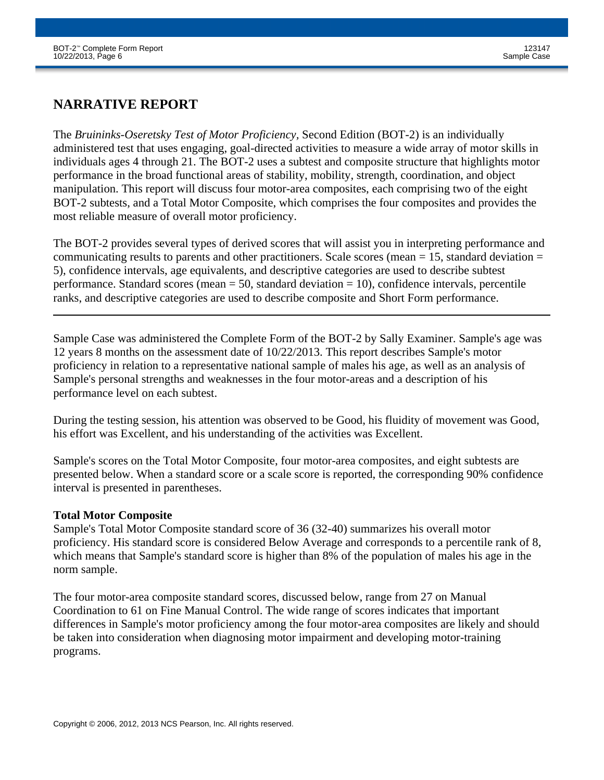## **NARRATIVE REPORT**

The *Bruininks-Oseretsky Test of Motor Proficiency,* Second Edition (BOT-2) is an individually administered test that uses engaging, goal-directed activities to measure a wide array of motor skills in individuals ages 4 through 21. The BOT-2 uses a subtest and composite structure that highlights motor performance in the broad functional areas of stability, mobility, strength, coordination, and object manipulation. This report will discuss four motor-area composites, each comprising two of the eight BOT-2 subtests, and a Total Motor Composite, which comprises the four composites and provides the most reliable measure of overall motor proficiency.

The BOT-2 provides several types of derived scores that will assist you in interpreting performance and communicating results to parents and other practitioners. Scale scores (mean  $= 15$ , standard deviation  $=$ 5), confidence intervals, age equivalents, and descriptive categories are used to describe subtest performance. Standard scores (mean  $= 50$ , standard deviation  $= 10$ ), confidence intervals, percentile ranks, and descriptive categories are used to describe composite and Short Form performance.

Sample Case was administered the Complete Form of the BOT-2 by Sally Examiner. Sample's age was 12 years 8 months on the assessment date of 10/22/2013. This report describes Sample's motor proficiency in relation to a representative national sample of males his age, as well as an analysis of Sample's personal strengths and weaknesses in the four motor-areas and a description of his performance level on each subtest.

During the testing session, his attention was observed to be Good, his fluidity of movement was Good, his effort was Excellent, and his understanding of the activities was Excellent.

Sample's scores on the Total Motor Composite, four motor-area composites, and eight subtests are presented below. When a standard score or a scale score is reported, the corresponding 90% confidence interval is presented in parentheses.

#### **Total Motor Composite**

Sample's Total Motor Composite standard score of 36 (32-40) summarizes his overall motor proficiency. His standard score is considered Below Average and corresponds to a percentile rank of 8, which means that Sample's standard score is higher than 8% of the population of males his age in the norm sample.

The four motor-area composite standard scores, discussed below, range from 27 on Manual Coordination to 61 on Fine Manual Control. The wide range of scores indicates that important differences in Sample's motor proficiency among the four motor-area composites are likely and should be taken into consideration when diagnosing motor impairment and developing motor-training programs.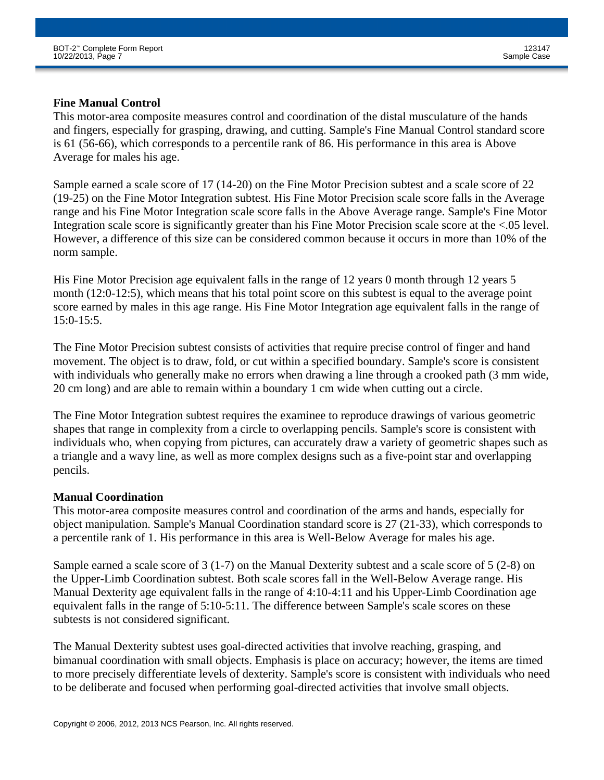#### **Fine Manual Control**

This motor-area composite measures control and coordination of the distal musculature of the hands and fingers, especially for grasping, drawing, and cutting. Sample's Fine Manual Control standard score is 61 (56-66), which corresponds to a percentile rank of 86. His performance in this area is Above Average for males his age.

Sample earned a scale score of 17 (14-20) on the Fine Motor Precision subtest and a scale score of 22 (19-25) on the Fine Motor Integration subtest. His Fine Motor Precision scale score falls in the Average range and his Fine Motor Integration scale score falls in the Above Average range. Sample's Fine Motor Integration scale score is significantly greater than his Fine Motor Precision scale score at the <.05 level. However, a difference of this size can be considered common because it occurs in more than 10% of the norm sample.

His Fine Motor Precision age equivalent falls in the range of 12 years 0 month through 12 years 5 month (12:0-12:5), which means that his total point score on this subtest is equal to the average point score earned by males in this age range. His Fine Motor Integration age equivalent falls in the range of 15:0-15:5.

The Fine Motor Precision subtest consists of activities that require precise control of finger and hand movement. The object is to draw, fold, or cut within a specified boundary. Sample's score is consistent with individuals who generally make no errors when drawing a line through a crooked path (3 mm wide, 20 cm long) and are able to remain within a boundary 1 cm wide when cutting out a circle.

The Fine Motor Integration subtest requires the examinee to reproduce drawings of various geometric shapes that range in complexity from a circle to overlapping pencils. Sample's score is consistent with individuals who, when copying from pictures, can accurately draw a variety of geometric shapes such as a triangle and a wavy line, as well as more complex designs such as a five-point star and overlapping pencils.

#### **Manual Coordination**

This motor-area composite measures control and coordination of the arms and hands, especially for object manipulation. Sample's Manual Coordination standard score is 27 (21-33), which corresponds to a percentile rank of 1. His performance in this area is Well-Below Average for males his age.

Sample earned a scale score of 3 (1-7) on the Manual Dexterity subtest and a scale score of 5 (2-8) on the Upper-Limb Coordination subtest. Both scale scores fall in the Well-Below Average range. His Manual Dexterity age equivalent falls in the range of 4:10-4:11 and his Upper-Limb Coordination age equivalent falls in the range of 5:10-5:11. The difference between Sample's scale scores on these subtests is not considered significant.

The Manual Dexterity subtest uses goal-directed activities that involve reaching, grasping, and bimanual coordination with small objects. Emphasis is place on accuracy; however, the items are timed to more precisely differentiate levels of dexterity. Sample's score is consistent with individuals who need to be deliberate and focused when performing goal-directed activities that involve small objects.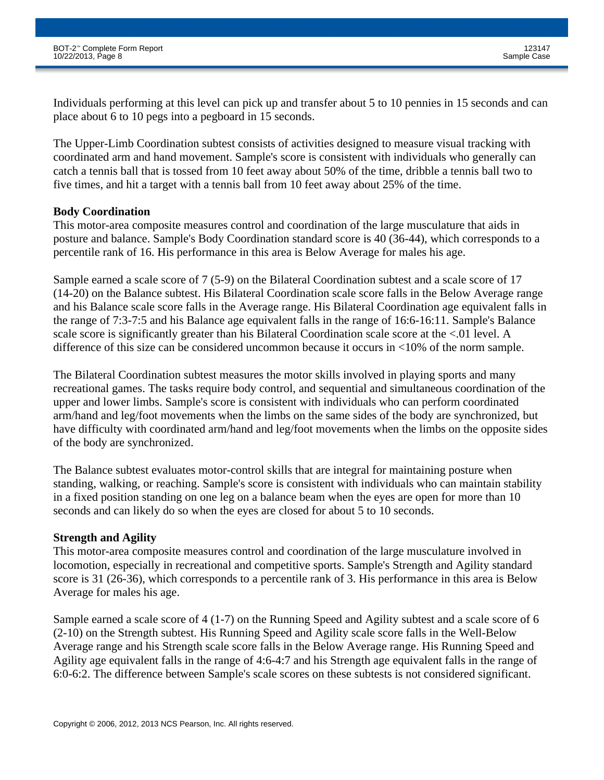Individuals performing at this level can pick up and transfer about 5 to 10 pennies in 15 seconds and can place about 6 to 10 pegs into a pegboard in 15 seconds.

The Upper-Limb Coordination subtest consists of activities designed to measure visual tracking with coordinated arm and hand movement. Sample's score is consistent with individuals who generally can catch a tennis ball that is tossed from 10 feet away about 50% of the time, dribble a tennis ball two to five times, and hit a target with a tennis ball from 10 feet away about 25% of the time.

#### **Body Coordination**

This motor-area composite measures control and coordination of the large musculature that aids in posture and balance. Sample's Body Coordination standard score is 40 (36-44), which corresponds to a percentile rank of 16. His performance in this area is Below Average for males his age.

Sample earned a scale score of 7 (5-9) on the Bilateral Coordination subtest and a scale score of 17 (14-20) on the Balance subtest. His Bilateral Coordination scale score falls in the Below Average range and his Balance scale score falls in the Average range. His Bilateral Coordination age equivalent falls in the range of 7:3-7:5 and his Balance age equivalent falls in the range of 16:6-16:11. Sample's Balance scale score is significantly greater than his Bilateral Coordination scale score at the <.01 level. A difference of this size can be considered uncommon because it occurs in <10% of the norm sample.

The Bilateral Coordination subtest measures the motor skills involved in playing sports and many recreational games. The tasks require body control, and sequential and simultaneous coordination of the upper and lower limbs. Sample's score is consistent with individuals who can perform coordinated arm/hand and leg/foot movements when the limbs on the same sides of the body are synchronized, but have difficulty with coordinated arm/hand and leg/foot movements when the limbs on the opposite sides of the body are synchronized.

The Balance subtest evaluates motor-control skills that are integral for maintaining posture when standing, walking, or reaching. Sample's score is consistent with individuals who can maintain stability in a fixed position standing on one leg on a balance beam when the eyes are open for more than 10 seconds and can likely do so when the eyes are closed for about 5 to 10 seconds.

#### **Strength and Agility**

This motor-area composite measures control and coordination of the large musculature involved in locomotion, especially in recreational and competitive sports. Sample's Strength and Agility standard score is 31 (26-36), which corresponds to a percentile rank of 3. His performance in this area is Below Average for males his age.

Sample earned a scale score of 4 (1-7) on the Running Speed and Agility subtest and a scale score of 6 (2-10) on the Strength subtest. His Running Speed and Agility scale score falls in the Well-Below Average range and his Strength scale score falls in the Below Average range. His Running Speed and Agility age equivalent falls in the range of 4:6-4:7 and his Strength age equivalent falls in the range of 6:0-6:2. The difference between Sample's scale scores on these subtests is not considered significant.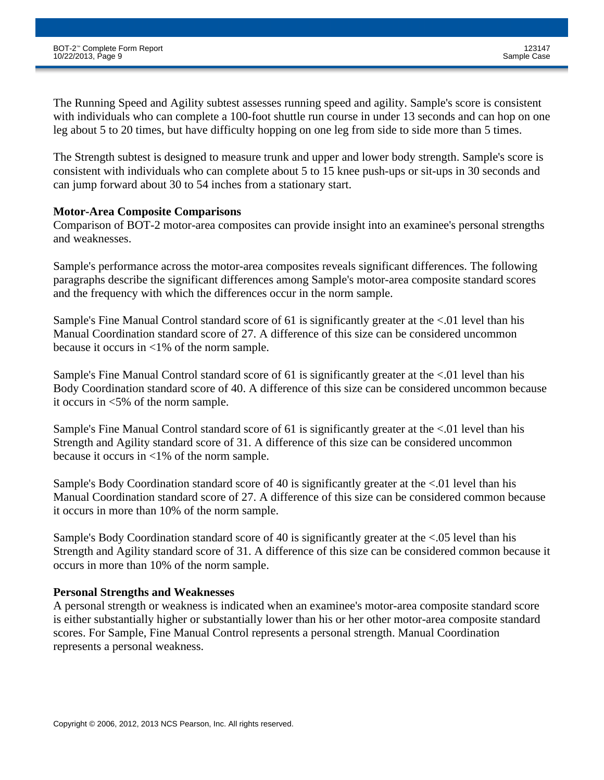The Running Speed and Agility subtest assesses running speed and agility. Sample's score is consistent with individuals who can complete a 100-foot shuttle run course in under 13 seconds and can hop on one leg about 5 to 20 times, but have difficulty hopping on one leg from side to side more than 5 times.

The Strength subtest is designed to measure trunk and upper and lower body strength. Sample's score is consistent with individuals who can complete about 5 to 15 knee push-ups or sit-ups in 30 seconds and can jump forward about 30 to 54 inches from a stationary start.

#### **Motor-Area Composite Comparisons**

Comparison of BOT-2 motor-area composites can provide insight into an examinee's personal strengths and weaknesses.

Sample's performance across the motor-area composites reveals significant differences. The following paragraphs describe the significant differences among Sample's motor-area composite standard scores and the frequency with which the differences occur in the norm sample.

Sample's Fine Manual Control standard score of 61 is significantly greater at the <.01 level than his Manual Coordination standard score of 27. A difference of this size can be considered uncommon because it occurs in <1% of the norm sample.

Sample's Fine Manual Control standard score of 61 is significantly greater at the <.01 level than his Body Coordination standard score of 40. A difference of this size can be considered uncommon because it occurs in <5% of the norm sample.

Sample's Fine Manual Control standard score of 61 is significantly greater at the <.01 level than his Strength and Agility standard score of 31. A difference of this size can be considered uncommon because it occurs in <1% of the norm sample.

Sample's Body Coordination standard score of 40 is significantly greater at the <.01 level than his Manual Coordination standard score of 27. A difference of this size can be considered common because it occurs in more than 10% of the norm sample.

Sample's Body Coordination standard score of 40 is significantly greater at the <.05 level than his Strength and Agility standard score of 31. A difference of this size can be considered common because it occurs in more than 10% of the norm sample.

#### **Personal Strengths and Weaknesses**

A personal strength or weakness is indicated when an examinee's motor-area composite standard score is either substantially higher or substantially lower than his or her other motor-area composite standard scores. For Sample, Fine Manual Control represents a personal strength. Manual Coordination represents a personal weakness.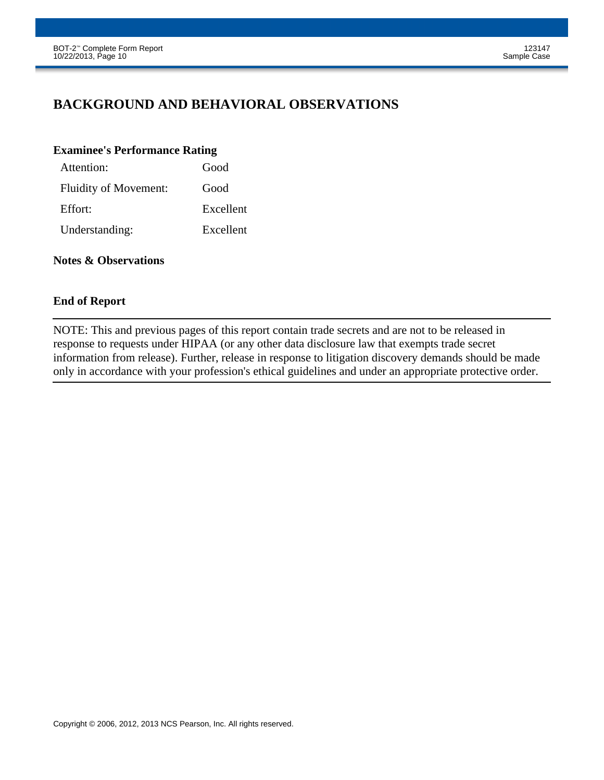## **BACKGROUND AND BEHAVIORAL OBSERVATIONS**

#### **Examinee's Performance Rating**

| Attention:                   | Good      |
|------------------------------|-----------|
| <b>Fluidity of Movement:</b> | Good      |
| Effort:                      | Excellent |
| Understanding:               | Excellent |

#### **Notes & Observations**

#### **End of Report**

NOTE: This and previous pages of this report contain trade secrets and are not to be released in response to requests under HIPAA (or any other data disclosure law that exempts trade secret information from release). Further, release in response to litigation discovery demands should be made only in accordance with your profession's ethical guidelines and under an appropriate protective order.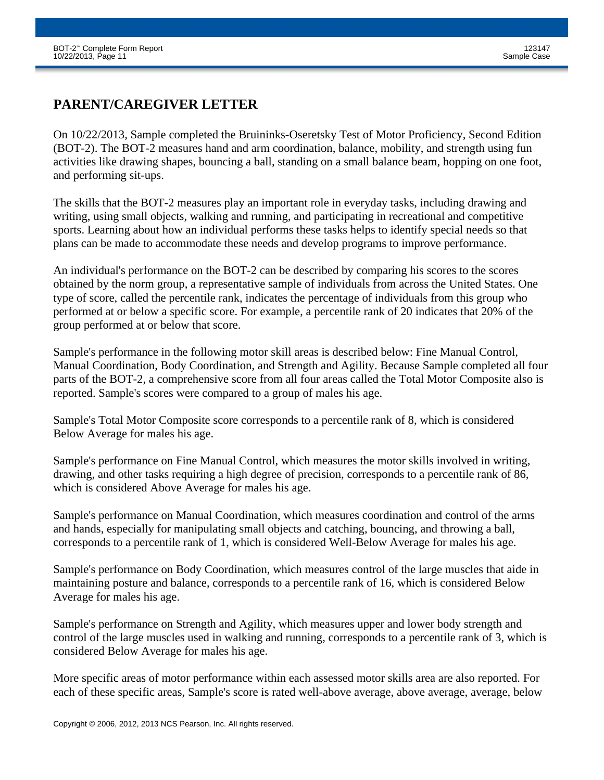## **PARENT/CAREGIVER LETTER**

On 10/22/2013, Sample completed the Bruininks-Oseretsky Test of Motor Proficiency, Second Edition (BOT-2). The BOT-2 measures hand and arm coordination, balance, mobility, and strength using fun activities like drawing shapes, bouncing a ball, standing on a small balance beam, hopping on one foot, and performing sit-ups.

The skills that the BOT-2 measures play an important role in everyday tasks, including drawing and writing, using small objects, walking and running, and participating in recreational and competitive sports. Learning about how an individual performs these tasks helps to identify special needs so that plans can be made to accommodate these needs and develop programs to improve performance.

An individual's performance on the BOT-2 can be described by comparing his scores to the scores obtained by the norm group, a representative sample of individuals from across the United States. One type of score, called the percentile rank, indicates the percentage of individuals from this group who performed at or below a specific score. For example, a percentile rank of 20 indicates that 20% of the group performed at or below that score.

Sample's performance in the following motor skill areas is described below: Fine Manual Control, Manual Coordination, Body Coordination, and Strength and Agility. Because Sample completed all four parts of the BOT-2, a comprehensive score from all four areas called the Total Motor Composite also is reported. Sample's scores were compared to a group of males his age.

Sample's Total Motor Composite score corresponds to a percentile rank of 8, which is considered Below Average for males his age.

Sample's performance on Fine Manual Control, which measures the motor skills involved in writing, drawing, and other tasks requiring a high degree of precision, corresponds to a percentile rank of 86, which is considered Above Average for males his age.

Sample's performance on Manual Coordination, which measures coordination and control of the arms and hands, especially for manipulating small objects and catching, bouncing, and throwing a ball, corresponds to a percentile rank of 1, which is considered Well-Below Average for males his age.

Sample's performance on Body Coordination, which measures control of the large muscles that aide in maintaining posture and balance, corresponds to a percentile rank of 16, which is considered Below Average for males his age.

Sample's performance on Strength and Agility, which measures upper and lower body strength and control of the large muscles used in walking and running, corresponds to a percentile rank of 3, which is considered Below Average for males his age.

More specific areas of motor performance within each assessed motor skills area are also reported. For each of these specific areas, Sample's score is rated well-above average, above average, average, below